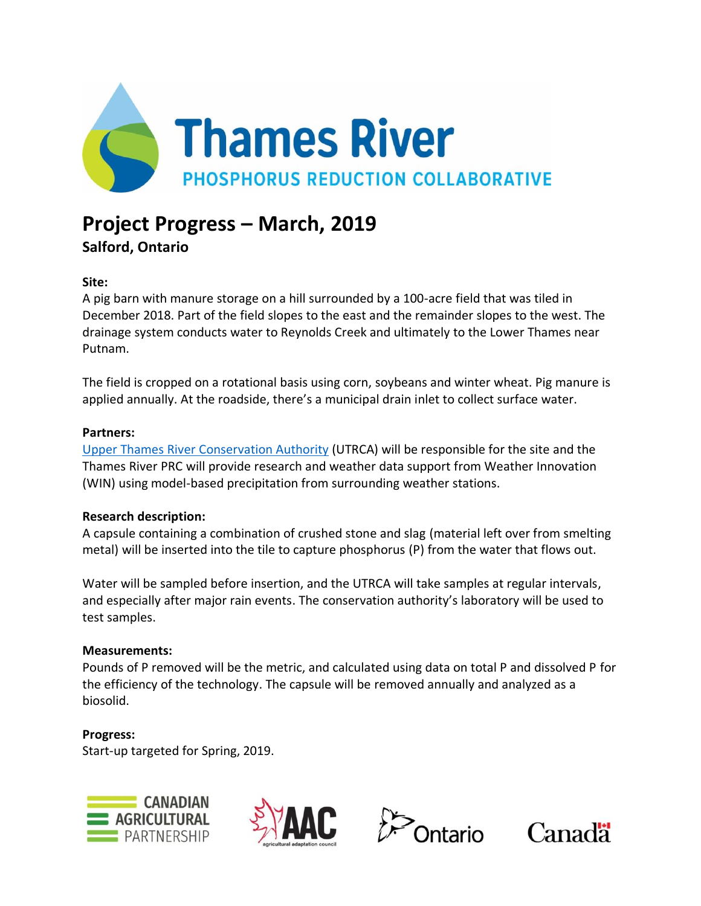

# **Project Progress – March, 2019**

**Salford, Ontario**

## **Site:**

A pig barn with manure storage on a hill surrounded by a 100-acre field that was tiled in December 2018. Part of the field slopes to the east and the remainder slopes to the west. The drainage system conducts water to Reynolds Creek and ultimately to the Lower Thames near Putnam.

The field is cropped on a rotational basis using corn, soybeans and winter wheat. Pig manure is applied annually. At the roadside, there's a municipal drain inlet to collect surface water.

## **Partners:**

[Upper Thames River Conservation Authority](http://thamesriver.on.ca/) (UTRCA) will be responsible for the site and the Thames River PRC will provide research and weather data support from Weather Innovation (WIN) using model-based precipitation from surrounding weather stations.

## **Research description:**

A capsule containing a combination of crushed stone and slag (material left over from smelting metal) will be inserted into the tile to capture phosphorus (P) from the water that flows out.

Water will be sampled before insertion, and the UTRCA will take samples at regular intervals, and especially after major rain events. The conservation authority's laboratory will be used to test samples.

## **Measurements:**

Pounds of P removed will be the metric, and calculated using data on total P and dissolved P for the efficiency of the technology. The capsule will be removed annually and analyzed as a biosolid.

## **Progress:**

Start-up targeted for Spring, 2019.